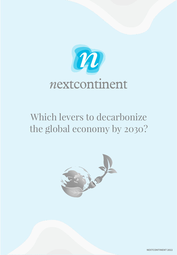

## *Which levers to decarbonize the global economy by 2030?*

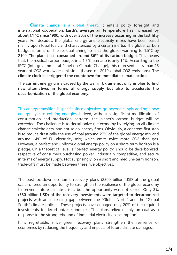**Climate change is a global threat**. It entails policy foresight and international cooperation. **Earth's average air temperature has increased by about 1.1 °C since 1900, with over 50% of the increase occurring in the last fifty years.** For decades, the global energy and electricity mixes have been based mainly upon fossil fuels and characterized by a certain inertia. The global carbon budget informs on the residual timing to limit the global warming to 1.5°C by 2100. **The planet has consumed around 86% of its carbon budget**. This means that, the residual carbon budget in a 1.5°C scenario is only 14%. According to the IPCC (Intergovernmental Panel on Climate Change), this represents less than 15 years of CO2 worldwide emissions (based on 2019 global CO2 emissions). **The climate clock has triggered the countdown for immediate climate action**.

**The current energy crisis caused by the war in Ukraine not only implies to find new alternatives in terms of energy supply but also to accelerate the decarbonization of the global economy.**

This energy transition is specific since objectives go beyond simply adding a new energy layer to existing energies. Indeed, without a significant modification of consumption and production patterns, the planet's carbon budget will be exceeded. The challenge is to decarbonize the economy by relying on all climate change stakeholders, and not solely energy firms. Obviously, a coherent first step is to reduce drastically the use of coal (around 27% of the global energy mix and around 14% of EU electricity mix) which emits twice more CO2 than gas. However, a perfect and uniform global energy policy on a short-term horizon is a pledge. On a theoretical level, a "perfect energy policy" should be decarbonized, respective of consumers purchasing power, industrially competitive, and secure in terms of energy supply. Not surprisingly, on a short and medium-term horizon, trade-offs must be made between these five objectives.

The post-lockdown economic recovery plans (2300 billion USD at the global scale) offered an opportunity to strengthen the resilience of the global economy to prevent future climate crises, but the opportunity was not seized. **Only 2% (380 billion USD) of the recovery investments were targeted to decarbonized** projects with an increasing gap between the "Global North" and the "Global South" climate policies. These projects have engaged only 20% of the required investments to decarbonize economies. The plans relied mainly on coal as a response to the strong rebound of industrial electricity consumption.

It is regrettable, since green recovery plans strengthen the resilience of economies by reducing the frequency and impacts of future climate damages.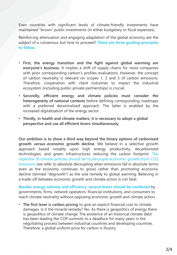Even countries with significant levels of climate-friendly investments have maintained "brown" public investments (in either budgetary or fiscal expenses).

Reinforcing attenuation and engaging adaptation of the global economy are the subject of a consensus; but how to proceed? **There are three guiding principles to follow.**

- **First, the energy transition and the fight against global warming are everyone's business.** It implies a shift of supply chains for most companies with prior corresponding carbon's profiles evaluations. However, the concept of carbon neutrality is relevant on scopes 1, 2 and 3 of carbon emissions. Therefore, cooperation with client industries to impact the industrial ecosystem (including public-private partnerships) is crucial.
- **Secondly, efficient energy and climate policies must consider the heterogeneity of national contexts** before defining corresponding roadmaps with a preferred decentralized approach. The latter is enabled by the increased digitalization of the energy sector.
- **Thirdly, in health and climate matters, it is necessary to adopt a global perspective and use all efficient levers simultaneously.**

**Our ambition is to show a third way beyond the binary options of carbonized growth versus economic growth decline**. We believe in a selective growth approach based notably upon high energy productivity, decarbonized technologies, and green infrastructures reducing the carbon footprint. The objective of climate policies should be to decouple economic growth from CO2 emissions (we refer to absolute decoupling when emissions fall in absolute terms even as the economy continues to grow) rather than promoting economic decline (termed "degrowth") as the sole remedy to global warming. Believing in a trade-off between economic growth and climate action is not fatal.

**Besides energy sobriety and efficiency, several levers should be combined** by governments, firms, network operators, financial institutions, and consumers to reach climate neutrality without opposing economic growth and climate action.

• **The first lever is carbon pricing** to give an explicit financial cost to climate damages. Is it the miracle remedy? No. As there is geopolitics of energy there is geopolitics of climate change. The existence of an historical climate debt has been leading the COP summits to a deadlock for many years in the negotiating process between industrial countries and developing countries. Therefore, a global uniform price for carbon is illusory.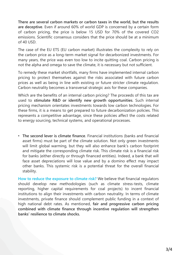**There are several carbon markets or carbon taxes in the world, but the results are deceptive**. Even if around 60% of world GDP is concerned by a certain form of carbon pricing, the price is below 15 USD for 70% of the covered CO2 emissions. Scientific consensus considers that the price should be at a minimum of 40 USD.

The case of the EU ETS (EU carbon market) illustrates the complexity to rely on the carbon price as a long-term market signal for decarbonized investments. For many years, the price was even too low to incite quitting coal. Carbon pricing is not the alpha and omega to save the climate, it is necessary but not sufficient.

To remedy these market shortfalls, many firms have implemented internal carbon pricing to protect themselves against the risks associated with future carbon prices as well as being in line with existing or future stricter climate regulation. Carbon neutrality becomes a transversal strategic axis for these companies.

Which are the benefits of an internal carbon pricing? The proceeds of this tax are used to **stimulate R&D or identify new growth opportunities**. Such internal pricing mechanism orientates investments towards low carbon technologies. For these firms, it is a means to get prepared to future decarbonization policies. This represents a competitive advantage, since these policies affect the costs related to energy sourcing, technical systems, and operational processes.

• **The second lever is climate finance**. Financial institutions (banks and financial asset firms) must be part of the climate solution. Not only green investments will limit global warming, but they will also enhance bank's carbon footprint and mitigate the corresponding climate risk. This climate risk is a financial risk for banks (either directly or through financed entities). Indeed, a bank that will face asset depreciations will lose value and by a domino effect may impact other banks. This systemic risk is a potential threat for the overall financial stability.

**How to reduce the exposure to climate risk?** We believe that financial regulators should develop new methodologies (such as climate stress-tests, climate reporting, higher capital requirements for coal projects) to incent financial institutions to align their investments with carbon neutrality. In terms of climate investments, private finance should complement public funding in a context of high national debt rates. As mentioned, **fair and progressive carbon pricing combined with climate finance through incentive regulation will strengthen banks' resilience to climate shocks.**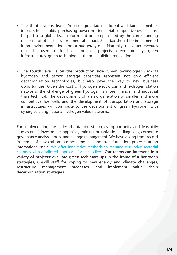- **The third lever is fiscal**. An ecological tax is efficient and fair if it neither impacts households 'purchasing power nor industrial competitiveness. It must be part of a global fiscal reform and be compensated by the corresponding decrease of other taxes for a neutral impact. Such tax should be implemented in an environmental logic not a budgetary one. Naturally, these tax revenues must be used to fund decarbonized projects: green mobility, green infrastructures, green technologies, thermal building renovation.
- **The fourth lever is on the production side**. Green technologies such as hydrogen and carbon storage capacities represent not only efficient decarbonization technologies, but also pave the way to new business opportunities. Given the cost of hydrogen electrolysis and hydrogen station networks, the challenge of green hydrogen is more financial and industrial than technical. The development of a new generation of smaller and more competitive fuel cells and the development of transportation and storage infrastructures will contribute to the development of green hydrogen with synergies along national hydrogen value networks.

For implementing these decarbonization strategies, opportunity and feasibility studies entail investments appraisal, training, organizational diagnoses, corporate governance analysis tools, and change management. We have a long track record in terms of low-carbon business models and transformation projects at an international scale. We offer innovative methods to manage disruptive sectorial changes with a tailored approach for each client. **Our teams can intervene in a variety of projects: evaluate green tech start-ups in the frame of a hydrogen strategies, upskill staff for coping to new energy and climate challenges, restructure management processes, and implement value chain decarbonization strategies.**